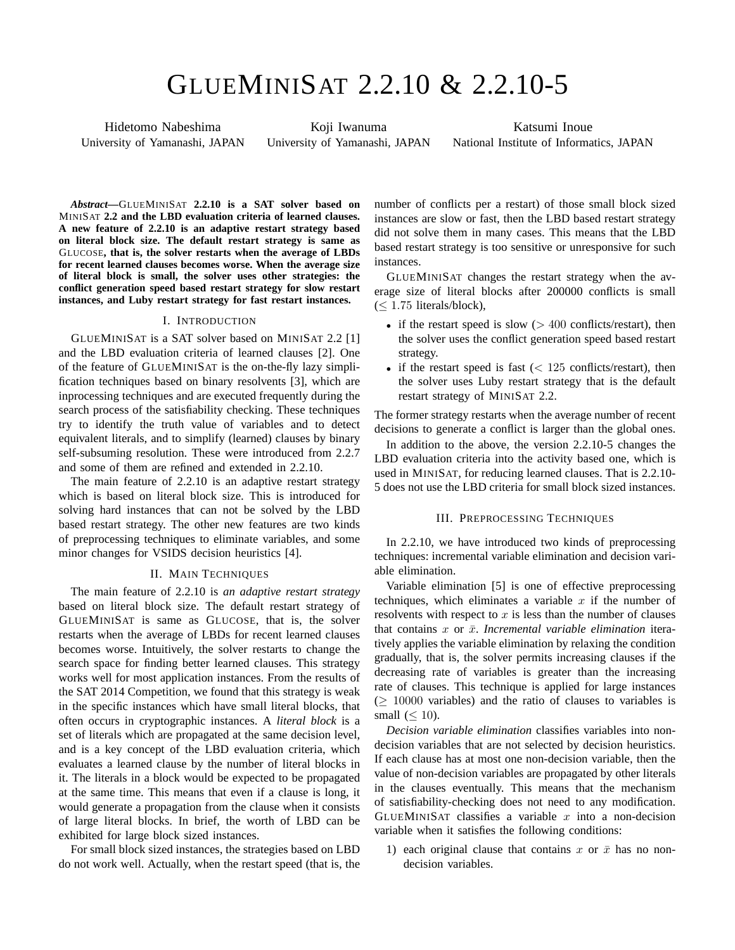# GLUEMINISAT 2.2.10 & 2.2.10-5

Hidetomo Nabeshima University of Yamanashi, JAPAN

Koji Iwanuma University of Yamanashi, JAPAN

Katsumi Inoue National Institute of Informatics, JAPAN

*Abstract***—**GLUEMINISAT **2.2.10 is a SAT solver based on** MINISAT **2.2 and the LBD evaluation criteria of learned clauses. A new feature of 2.2.10 is an adaptive restart strategy based on literal block size. The default restart strategy is same as** GLUCOSE**, that is, the solver restarts when the average of LBDs for recent learned clauses becomes worse. When the average size of literal block is small, the solver uses other strategies: the conflict generation speed based restart strategy for slow restart instances, and Luby restart strategy for fast restart instances.**

#### I. INTRODUCTION

GLUEMINISAT is a SAT solver based on MINISAT 2.2 [1] and the LBD evaluation criteria of learned clauses [2]. One of the feature of GLUEMINISAT is the on-the-fly lazy simplification techniques based on binary resolvents [3], which are inprocessing techniques and are executed frequently during the search process of the satisfiability checking. These techniques try to identify the truth value of variables and to detect equivalent literals, and to simplify (learned) clauses by binary self-subsuming resolution. These were introduced from 2.2.7 and some of them are refined and extended in 2.2.10.

The main feature of 2.2.10 is an adaptive restart strategy which is based on literal block size. This is introduced for solving hard instances that can not be solved by the LBD based restart strategy. The other new features are two kinds of preprocessing techniques to eliminate variables, and some minor changes for VSIDS decision heuristics [4].

## II. MAIN TECHNIQUES

The main feature of 2.2.10 is *an adaptive restart strategy* based on literal block size. The default restart strategy of GLUEMINISAT is same as GLUCOSE, that is, the solver restarts when the average of LBDs for recent learned clauses becomes worse. Intuitively, the solver restarts to change the search space for finding better learned clauses. This strategy works well for most application instances. From the results of the SAT 2014 Competition, we found that this strategy is weak in the specific instances which have small literal blocks, that often occurs in cryptographic instances. A *literal block* is a set of literals which are propagated at the same decision level, and is a key concept of the LBD evaluation criteria, which evaluates a learned clause by the number of literal blocks in it. The literals in a block would be expected to be propagated at the same time. This means that even if a clause is long, it would generate a propagation from the clause when it consists of large literal blocks. In brief, the worth of LBD can be exhibited for large block sized instances.

For small block sized instances, the strategies based on LBD do not work well. Actually, when the restart speed (that is, the number of conflicts per a restart) of those small block sized instances are slow or fast, then the LBD based restart strategy did not solve them in many cases. This means that the LBD based restart strategy is too sensitive or unresponsive for such instances.

GLUEMINISAT changes the restart strategy when the average size of literal blocks after 200000 conflicts is small (*≤* 1*.*75 literals/block),

- if the restart speed is slow ( $> 400$  conflicts/restart), then the solver uses the conflict generation speed based restart strategy.
- if the restart speed is fast (< 125 conflicts/restart), then the solver uses Luby restart strategy that is the default restart strategy of MINISAT 2.2.

The former strategy restarts when the average number of recent decisions to generate a conflict is larger than the global ones.

In addition to the above, the version 2.2.10-5 changes the LBD evaluation criteria into the activity based one, which is used in MINISAT, for reducing learned clauses. That is 2.2.10- 5 does not use the LBD criteria for small block sized instances.

### III. PREPROCESSING TECHNIQUES

In 2.2.10, we have introduced two kinds of preprocessing techniques: incremental variable elimination and decision variable elimination.

Variable elimination [5] is one of effective preprocessing techniques, which eliminates a variable *x* if the number of resolvents with respect to *x* is less than the number of clauses that contains  $x$  or  $\bar{x}$ . *Incremental variable elimination* iteratively applies the variable elimination by relaxing the condition gradually, that is, the solver permits increasing clauses if the decreasing rate of variables is greater than the increasing rate of clauses. This technique is applied for large instances (*≥* 10000 variables) and the ratio of clauses to variables is small (*≤* 10).

*Decision variable elimination* classifies variables into nondecision variables that are not selected by decision heuristics. If each clause has at most one non-decision variable, then the value of non-decision variables are propagated by other literals in the clauses eventually. This means that the mechanism of satisfiability-checking does not need to any modification. GLUEMINISAT classifies a variable *x* into a non-decision variable when it satisfies the following conditions:

1) each original clause that contains  $x$  or  $\bar{x}$  has no nondecision variables.